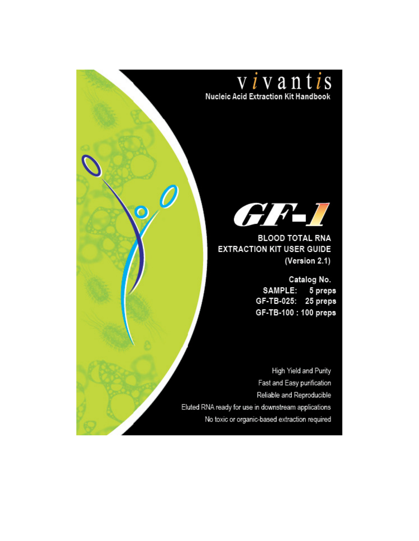

**BLOOD TOTAL RNA EXTRACTION KIT USER GUIDE** (Version 2.1)

> Catalog No. SAMPLE: 5 preps GF-TB-025: 25 preps GF-TB-100 : 100 preps

High Yield and Purity Fast and Easy purification Reliable and Reproducible Eluted RNA ready for use in downstream applications No toxic or organic-based extraction required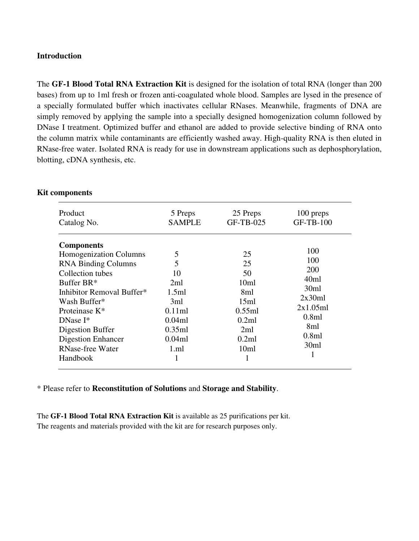#### **Introduction**

The **GF-1 Blood Total RNA Extraction Kit** is designed for the isolation of total RNA (longer than 200 bases) from up to 1ml fresh or frozen anti-coagulated whole blood. Samples are lysed in the presence of a specially formulated buffer which inactivates cellular RNases. Meanwhile, fragments of DNA are simply removed by applying the sample into a specially designed homogenization column followed by DNase I treatment. Optimized buffer and ethanol are added to provide selective binding of RNA onto the column matrix while contaminants are efficiently washed away. High-quality RNA is then eluted in RNase-free water. Isolated RNA is ready for use in downstream applications such as dephosphorylation, blotting, cDNA synthesis, etc.

| <b>Product</b>                                                                                                                                                                                                                                                                                              | 5 Preps                                                                                                       | 25 Preps                                                                                                       | 100 preps                                                                                                    |
|-------------------------------------------------------------------------------------------------------------------------------------------------------------------------------------------------------------------------------------------------------------------------------------------------------------|---------------------------------------------------------------------------------------------------------------|----------------------------------------------------------------------------------------------------------------|--------------------------------------------------------------------------------------------------------------|
| Catalog No.<br><b>Components</b><br>Homogenization Columns<br><b>RNA Binding Columns</b><br>Collection tubes<br>Buffer BR*<br>Inhibitor Removal Buffer*<br>Wash Buffer*<br>Proteinase K <sup>*</sup><br>$DNase I^*$<br>Digestion Buffer<br><b>Digestion Enhancer</b><br><b>RNase-free Water</b><br>Handbook | <b>SAMPLE</b><br>5<br>5<br>10<br>2ml<br>1.5ml<br>3ml<br>0.11ml<br>0.04ml<br>0.35ml<br>0.04ml<br>$1$ .ml<br>-1 | GF-TB-025<br>25<br>25<br>50<br>10ml<br>8ml<br>15ml<br>0.55ml<br>0.2ml<br>2ml<br>0.2ml<br>10 <sub>ml</sub><br>1 | <b>GF-TB-100</b><br>100<br>100<br>200<br>40ml<br>30ml<br>2x30ml<br>2x1.05ml<br>0.8ml<br>8ml<br>0.8ml<br>30ml |

#### **Kit components**

\* Please refer to **Reconstitution of Solutions** and **Storage and Stability**.

The **GF-1 Blood Total RNA Extraction Kit** is available as 25 purifications per kit. The reagents and materials provided with the kit are for research purposes only.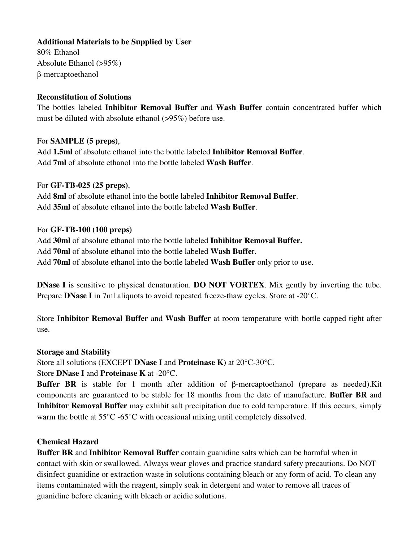#### **Additional Materials to be Supplied by User**

80% Ethanol Absolute Ethanol (>95%) β-mercaptoethanol

#### **Reconstitution of Solutions**

The bottles labeled **Inhibitor Removal Buffer** and **Wash Buffer** contain concentrated buffer which must be diluted with absolute ethanol (>95%) before use.

#### For **SAMPLE (5 preps)**,

Add **1.5ml** of absolute ethanol into the bottle labeled **Inhibitor Removal Buffer**. Add **7ml** of absolute ethanol into the bottle labeled **Wash Buffer**.

#### For **GF-TB-025 (25 preps)**,

Add **8ml** of absolute ethanol into the bottle labeled **Inhibitor Removal Buffer**. Add **35ml** of absolute ethanol into the bottle labeled **Wash Buffer**.

#### For **GF-TB-100 (100 preps)**

Add **30ml** of absolute ethanol into the bottle labeled **Inhibitor Removal Buffer.**  Add **70ml** of absolute ethanol into the bottle labeled **Wash Buffe**r. Add **70ml** of absolute ethanol into the bottle labeled **Wash Buffer** only prior to use.

**DNase I** is sensitive to physical denaturation. **DO NOT VORTEX**. Mix gently by inverting the tube. Prepare **DNase I** in 7ml aliquots to avoid repeated freeze-thaw cycles. Store at -20°C.

Store **Inhibitor Removal Buffer** and **Wash Buffer** at room temperature with bottle capped tight after use.

#### **Storage and Stability**

Store all solutions (EXCEPT **DNase I** and **Proteinase K**) at 20°C-30°C.

Store **DNase I** and **Proteinase K** at -20°C.

**Buffer BR** is stable for 1 month after addition of β-mercaptoethanol (prepare as needed).Kit components are guaranteed to be stable for 18 months from the date of manufacture. **Buffer BR** and **Inhibitor Removal Buffer** may exhibit salt precipitation due to cold temperature. If this occurs, simply warm the bottle at 55°C -65°C with occasional mixing until completely dissolved.

#### **Chemical Hazard**

**Buffer BR** and **Inhibitor Removal Buffer** contain guanidine salts which can be harmful when in contact with skin or swallowed. Always wear gloves and practice standard safety precautions. Do NOT disinfect guanidine or extraction waste in solutions containing bleach or any form of acid. To clean any items contaminated with the reagent, simply soak in detergent and water to remove all traces of guanidine before cleaning with bleach or acidic solutions.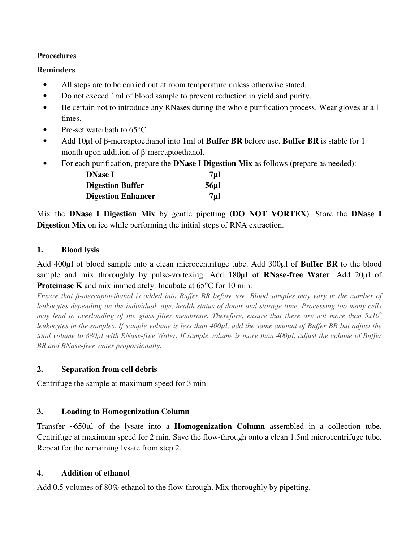#### **Procedures**

#### **Reminders**

- All steps are to be carried out at room temperature unless otherwise stated.
- Do not exceed 1ml of blood sample to prevent reduction in yield and purity.
- Be certain not to introduce any RNases during the whole purification process. Wear gloves at all times.
- Pre-set waterbath to  $65^{\circ}$ C.
- Add 10µl of β-mercaptoethanol into 1ml of **Buffer BR** before use. **Buffer BR** is stable for 1 month upon addition of β-mercaptoethanol.
- For each purification, prepare the **DNase I Digestion Mix** as follows (prepare as needed):

| <b>DNase I</b>            | 7µl             |
|---------------------------|-----------------|
| <b>Digestion Buffer</b>   | 56 <sub>µ</sub> |
| <b>Digestion Enhancer</b> | 7µl             |

Mix the **DNase I Digestion Mix** by gentle pipetting **(DO NOT VORTEX)***.* Store the **DNase I Digestion Mix** on ice while performing the initial steps of RNA extraction.

## **1. Blood lysis**

Add 400µl of blood sample into a clean microcentrifuge tube. Add 300µl of **Buffer BR** to the blood sample and mix thoroughly by pulse-vortexing. Add 180µl of **RNase-free Water**. Add 20µl of **Proteinase K** and mix immediately. Incubate at 65<sup>o</sup>C for 10 min.

*Ensure that β-mercaptoethanol is added into Buffer BR before use. Blood samples may vary in the number of leukocytes depending on the individual, age, health status of donor and storage time. Processing too many cells may lead to overloading of the glass filter membrane. Therefore, ensure that there are not more than 5x10<sup>6</sup> leukocytes in the samples. If sample volume is less than 400µl, add the same amount of Buffer BR but adjust the total volume to 880µl with RNase-free Water. If sample volume is more than 400µl, adjust the volume of Buffer BR and RNase-free water proportionally.* 

## **2. Separation from cell debris**

Centrifuge the sample at maximum speed for 3 min.

## **3. Loading to Homogenization Column**

Transfer ∼650µl of the lysate into a **Homogenization Column** assembled in a collection tube. Centrifuge at maximum speed for 2 min. Save the flow-through onto a clean 1.5ml microcentrifuge tube. Repeat for the remaining lysate from step 2.

## **4. Addition of ethanol**

Add 0.5 volumes of 80% ethanol to the flow-through. Mix thoroughly by pipetting.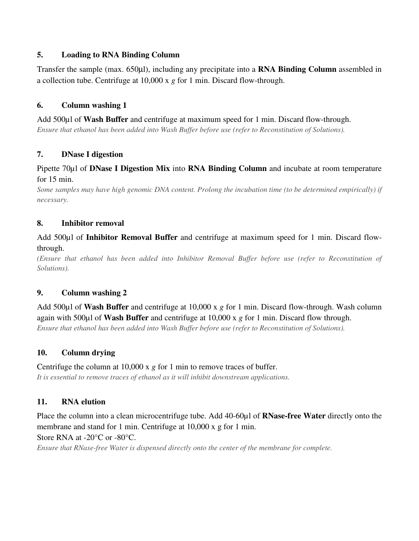### **5. Loading to RNA Binding Column**

Transfer the sample (max. 650µl), including any precipitate into a **RNA Binding Column** assembled in a collection tube. Centrifuge at 10,000 x *g* for 1 min. Discard flow-through.

## **6. Column washing 1**

Add 500µl of **Wash Buffer** and centrifuge at maximum speed for 1 min. Discard flow-through. *Ensure that ethanol has been added into Wash Buffer before use (refer to Reconstitution of Solutions).*

#### **7. DNase I digestion**

### Pipette 70µl of **DNase I Digestion Mix** into **RNA Binding Column** and incubate at room temperature for 15 min.

*Some samples may have high genomic DNA content. Prolong the incubation time (to be determined empirically) if necessary.* 

#### **8. Inhibitor removal**

Add 500µl of **Inhibitor Removal Buffer** and centrifuge at maximum speed for 1 min. Discard flowthrough.

*(Ensure that ethanol has been added into Inhibitor Removal Buffer before use (refer to Reconstitution of Solutions).* 

## **9. Column washing 2**

Add 500µl of **Wash Buffer** and centrifuge at 10,000 x *g* for 1 min. Discard flow-through. Wash column again with 500µl of **Wash Buffer** and centrifuge at 10,000 x *g* for 1 min. Discard flow through. *Ensure that ethanol has been added into Wash Buffer before use (refer to Reconstitution of Solutions).*

## **10. Column drying**

#### Centrifuge the column at 10,000 x *g* for 1 min to remove traces of buffer.

*It is essential to remove traces of ethanol as it will inhibit downstream applications.* 

## **11. RNA elution**

Place the column into a clean microcentrifuge tube. Add 40-60µl of **RNase-free Water** directly onto the membrane and stand for 1 min. Centrifuge at 10,000 x g for 1 min.

Store RNA at -20°C or -80°C.

*Ensure that RNase-free Water is dispensed directly onto the center of the membrane for complete.*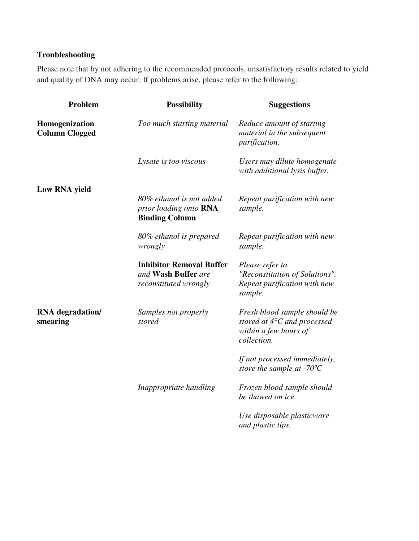# **Troubleshooting**

Please note that by not adhering to the recommended protocols, unsatisfactory results related to yield and quality of DNA may occur. If problems arise, please refer to the following:

| Problem                                 | <b>Possibility</b>                                                              | <b>Suggestions</b>                                                                                            |
|-----------------------------------------|---------------------------------------------------------------------------------|---------------------------------------------------------------------------------------------------------------|
| Homogenization<br><b>Column Clogged</b> | Too much starting material                                                      | Reduce amount of starting<br>material in the subsequent<br><i>purification.</i>                               |
|                                         | Lysate is too viscous                                                           | Users may dilute homogenate<br>with additional lysis buffer.                                                  |
| Low RNA yield                           |                                                                                 |                                                                                                               |
|                                         | 80% ethanol is not added<br>prior loading onto RNA<br><b>Binding Column</b>     | Repeat purification with new<br>sample.                                                                       |
|                                         | 80% ethanol is prepared<br>wrongly                                              | Repeat purification with new<br>sample.                                                                       |
|                                         | <b>Inhibitor Removal Buffer</b><br>and Wash Buffer are<br>reconstituted wrongly | Please refer to<br>"Reconstitution of Solutions".<br>Repeat purification with new<br>sample.                  |
| RNA degradation/<br>smearing            | Samples not properly<br>stored                                                  | Fresh blood sample should be<br>stored at $4^{\circ}$ C and processed<br>within a few hours of<br>collection. |
|                                         |                                                                                 | If not processed immediately,<br>store the sample at -70 $^{\circ}$ C                                         |
|                                         | Inappropriate handling                                                          | Frozen blood sample should<br>be thawed on ice.                                                               |
|                                         |                                                                                 | Use disposable plasticware<br>and plastic tips.                                                               |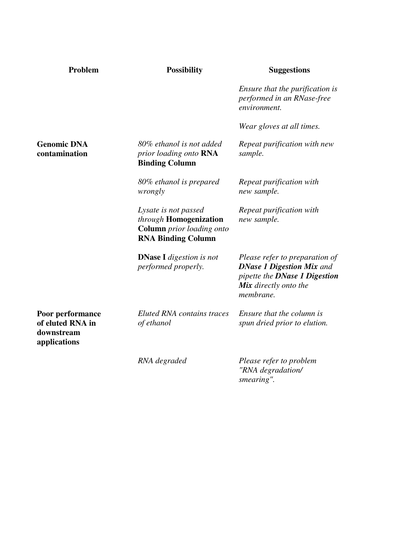| Problem                                                            | <b>Possibility</b>                                                                                       | <b>Suggestions</b>                                                                                                                        |
|--------------------------------------------------------------------|----------------------------------------------------------------------------------------------------------|-------------------------------------------------------------------------------------------------------------------------------------------|
|                                                                    |                                                                                                          | Ensure that the purification is<br>performed in an RNase-free<br>environment.                                                             |
|                                                                    |                                                                                                          | Wear gloves at all times.                                                                                                                 |
| <b>Genomic DNA</b><br>contamination                                | 80% ethanol is not added<br>prior loading onto RNA<br><b>Binding Column</b>                              | Repeat purification with new<br>sample.                                                                                                   |
|                                                                    | 80% ethanol is prepared<br>wrongly                                                                       | Repeat purification with<br>new sample.                                                                                                   |
|                                                                    | Lysate is not passed<br>through Homogenization<br>Column prior loading onto<br><b>RNA Binding Column</b> | Repeat purification with<br>new sample.                                                                                                   |
|                                                                    | <b>DNase I</b> digestion is not<br>performed properly.                                                   | Please refer to preparation of<br><b>DNase 1 Digestion Mix and</b><br>pipette the DNase 1 Digestion<br>Mix directly onto the<br>membrane. |
| Poor performance<br>of eluted RNA in<br>downstream<br>applications | <b>Eluted RNA</b> contains traces<br>of ethanol                                                          | Ensure that the column is<br>spun dried prior to elution.                                                                                 |
|                                                                    | RNA degraded                                                                                             | Please refer to problem<br>"RNA degradation/<br>smearing".                                                                                |